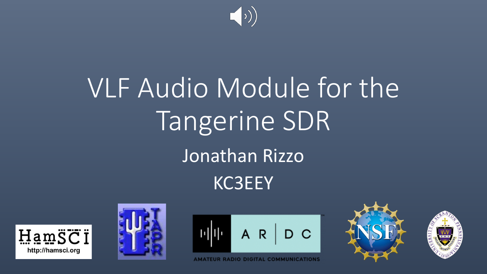

# VLF Audio Module for the Tangerine SDR Jonathan Rizzo KC3EEY







**AMATEUR RADIO DIGITAL COMMUNICATIONS** 



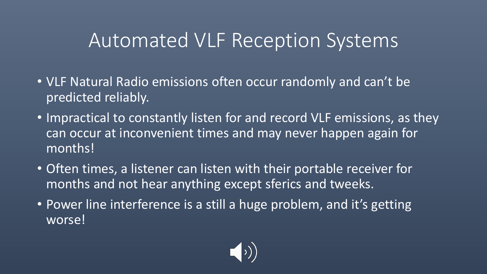#### Automated VLF Reception Systems

- VLF Natural Radio emissions often occur randomly and can't be predicted reliably.
- Impractical to constantly listen for and record VLF emissions, as they can occur at inconvenient times and may never happen again for months!
- Often times, a listener can listen with their portable receiver for months and not hear anything except sferics and tweeks.
- Power line interference is a still a huge problem, and it's getting worse!

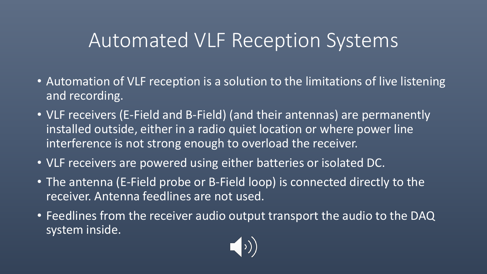#### Automated VLF Reception Systems

- Automation of VLF reception is a solution to the limitations of live listening and recording.
- VLF receivers (E-Field and B-Field) (and their antennas) are permanently installed outside, either in a radio quiet location or where power line interference is not strong enough to overload the receiver.
- VLF receivers are powered using either batteries or isolated DC.
- The antenna (E-Field probe or B-Field loop) is connected directly to the receiver. Antenna feedlines are not used.
- Feedlines from the receiver audio output transport the audio to the DAQ system inside.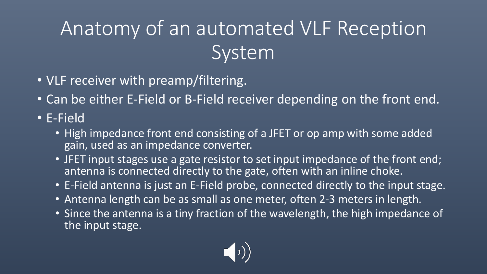### Anatomy of an automated VLF Reception System

- VLF receiver with preamp/filtering.
- Can be either E-Field or B-Field receiver depending on the front end.
- E-Field
	- High impedance front end consisting of a JFET or op amp with some added gain, used as an impedance converter.
	- JFET input stages use a gate resistor to set input impedance of the front end; antenna is connected directly to the gate, often with an inline choke.
	- E-Field antenna is just an E-Field probe, connected directly to the input stage.
	- Antenna length can be as small as one meter, often 2-3 meters in length.
	- Since the antenna is a tiny fraction of the wavelength, the high impedance of the input stage.

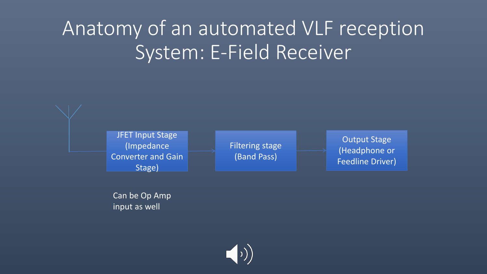#### Anatomy of an automated VLF reception System: E-Field Receiver

JFET Input Stage (Impedance Converter and Gain Stage)

Can be Op Amp input as well

Filtering stage (Band Pass)

Output Stage (Headphone or Feedline Driver)

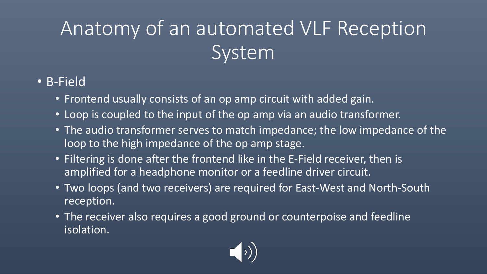## Anatomy of an automated VLF Reception System

#### • B-Field

- Frontend usually consists of an op amp circuit with added gain.
- Loop is coupled to the input of the op amp via an audio transformer.
- The audio transformer serves to match impedance; the low impedance of the loop to the high impedance of the op amp stage.
- Filtering is done after the frontend like in the E-Field receiver, then is amplified for a headphone monitor or a feedline driver circuit.
- Two loops (and two receivers) are required for East-West and North-South reception.
- The receiver also requires a good ground or counterpoise and feedline isolation.

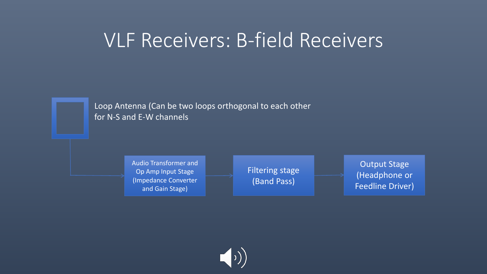#### VLF Receivers: B-field Receivers

Loop Antenna (Can be two loops orthogonal to each other for N-S and E-W channels

> Audio Transformer and Op Amp Input Stage (Impedance Converter and Gain Stage)

Filtering stage (Band Pass)

Output Stage (Headphone or Feedline Driver)

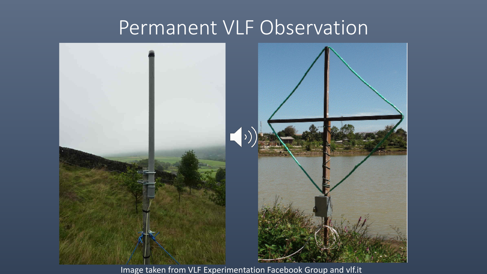#### Permanent VLF Observation



Image taken from VLF Experimentation Facebook Group and vlf.it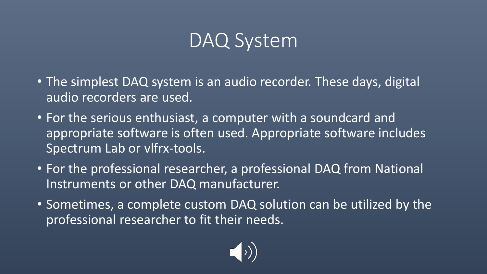#### DAQ System

- The simplest DAQ system is an audio recorder. These days, digital audio recorders are used.
- For the serious enthusiast, a computer with a soundcard and appropriate software is often used. Appropriate software includes Spectrum Lab or vlfrx-tools.
- For the professional researcher, a professional DAQ from National Instruments or other DAQ manufacturer.
- Sometimes, a complete custom DAQ solution can be utilized by the professional researcher to fit their needs.

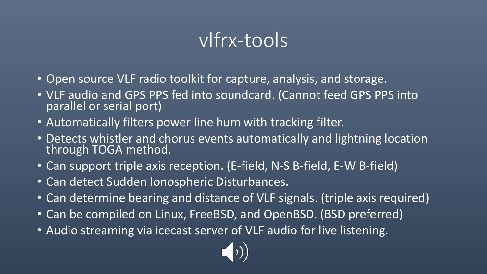#### vlfrx-tools

- Open source VLF radio toolkit for capture, analysis, and storage.
- VLF audio and GPS PPS fed into soundcard. (Cannot feed GPS PPS into parallel or serial port)
- Automatically filters power line hum with tracking filter.
- Detects whistler and chorus events automatically and lightning location through TOGA method.
- Can support triple axis reception. (E-field, N-S B-field, E-W B-field)
- Can detect Sudden Ionospheric Disturbances.
- Can determine bearing and distance of VLF signals. (triple axis required)
- Can be compiled on Linux, FreeBSD, and OpenBSD. (BSD preferred)
- Audio streaming via icecast server of VLF audio for live listening.

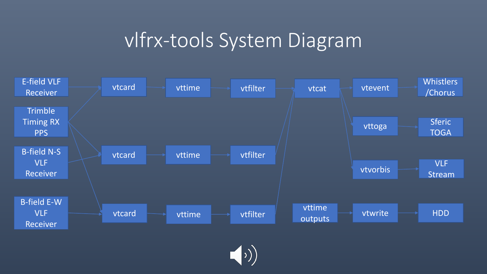#### vlfrx-tools System Diagram



 $\left(\bigcirc\right)$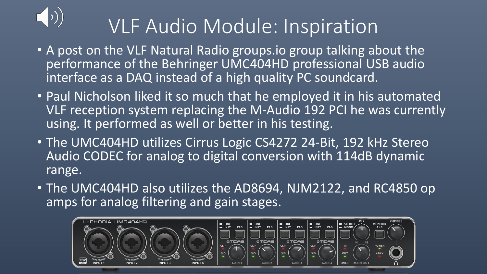# VLF Audio Module: Inspiration

- A post on the VLF Natural Radio groups.io group talking about the performance of the Behringer UMC404HD professional USB audio interface as a DAQ instead of a high quality PC soundcard.
- Paul Nicholson liked it so much that he employed it in his automated VLF reception system replacing the M-Audio 192 PCI he was currently using. It performed as well or better in his testing.
- The UMC404HD utilizes Cirrus Logic CS4272 24-Bit, 192 kHz Stereo Audio CODEC for analog to digital conversion with 114dB dynamic range.
- The UMC404HD also utilizes the AD8694, NJM2122, and RC4850 op amps for analog filtering and gain stages.

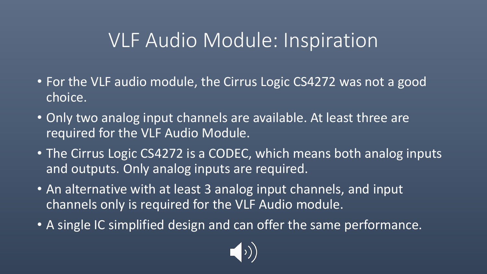#### VLF Audio Module: Inspiration

- For the VLF audio module, the Cirrus Logic CS4272 was not a good choice.
- Only two analog input channels are available. At least three are required for the VLF Audio Module.
- The Cirrus Logic CS4272 is a CODEC, which means both analog inputs and outputs. Only analog inputs are required.
- An alternative with at least 3 analog input channels, and input channels only is required for the VLF Audio module.
- A single IC simplified design and can offer the same performance.

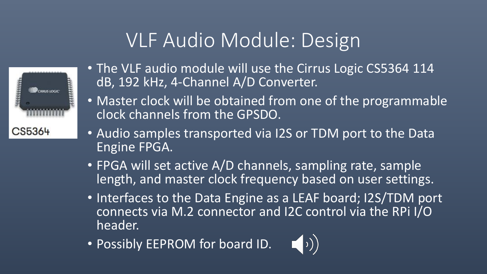#### VLF Audio Module: Design



- The VLF audio module will use the Cirrus Logic CS5364 114 dB, 192 kHz, 4-Channel A/D Converter.
- Master clock will be obtained from one of the programmable clock channels from the GPSDO.
- Audio samples transported via I2S or TDM port to the Data Engine FPGA.
- FPGA will set active A/D channels, sampling rate, sample length, and master clock frequency based on user settings.
- Interfaces to the Data Engine as a LEAF board; I2S/TDM port connects via M.2 connector and I2C control via the RPi I/O header.

 $\left(\left(\cdot\right)\right)$ 

• Possibly EEPROM for board ID.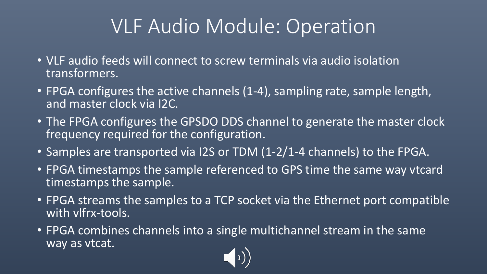#### VLF Audio Module: Operation

- VLF audio feeds will connect to screw terminals via audio isolation transformers.
- FPGA configures the active channels (1-4), sampling rate, sample length, and master clock via I2C.
- The FPGA configures the GPSDO DDS channel to generate the master clock frequency required for the configuration.
- Samples are transported via I2S or TDM (1-2/1-4 channels) to the FPGA.
- FPGA timestamps the sample referenced to GPS time the same way vtcard timestamps the sample.
- FPGA streams the samples to a TCP socket via the Ethernet port compatible with vlfrx-tools.
- FPGA combines channels into a single multichannel stream in the same way as vtcat.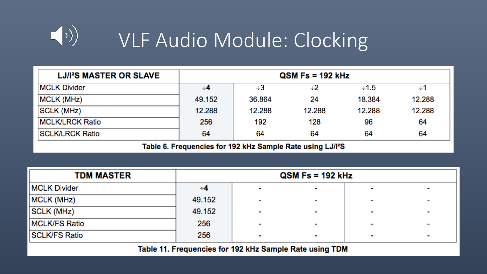

| LJ/I <sup>2</sup> S MASTER OR SLAVE | $\overline{Q}$ SM Fs = 192 kHz |        |        |        |        |  |  |
|-------------------------------------|--------------------------------|--------|--------|--------|--------|--|--|
| <b>MCLK Divider</b>                 | ÷4                             | ÷З     | ÷2     | $+1.5$ | ÷1     |  |  |
| MCLK (MHz)                          | 49.152                         | 36.864 | 24     | 18.384 | 12.288 |  |  |
| SCLK (MHz)                          | 12.288                         | 12.288 | 12.288 | 12.288 | 12.288 |  |  |
| MCLK/LRCK Ratio                     | 256                            | 192    | 128    | 96     | 64     |  |  |
| <b>ISCLK/LRCK Ratio</b>             | 64                             | 64     | 64     | 64     | 64     |  |  |

Table 6. Frequencies for 192 kHz Sample Rate using LJ/I<sup>2</sup>S

| <b>TDM MASTER</b>    | $QSM$ Fs = 192 kHz |                          |                          |  |  |  |  |
|----------------------|--------------------|--------------------------|--------------------------|--|--|--|--|
| <b>MCLK Divider</b>  | ÷4                 |                          |                          |  |  |  |  |
| MCLK (MHz)           | 49.152             |                          |                          |  |  |  |  |
| SCLK (MHz)           | 49.152             |                          | $\overline{\phantom{a}}$ |  |  |  |  |
| MCLK/FS Ratio        | 256                |                          |                          |  |  |  |  |
| <b>SCLK/FS Ratio</b> | 256                | $\overline{\phantom{a}}$ | -                        |  |  |  |  |

Table 11. Frequencies for 192 kHz Sample Rate using TDM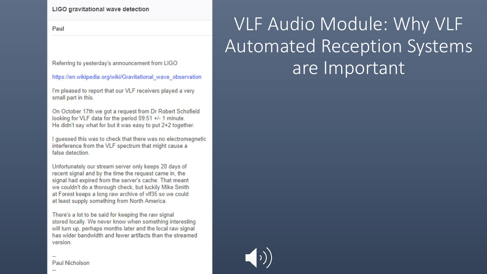#### LIGO gravitational wave detection

Paul

Referring to yesterday's announcement from LIGO

https://en.wikipedia.org/wiki/Gravitational wave observation

I'm pleased to report that our VLF receivers played a very small part in this.

On October 17th we got a request from Dr Robert Schofield looking for VLF data for the period 09:51 +/- 1 minute. He didn't say what for but it was easy to put 2+2 together.

I guessed this was to check that there was no electromagnetic interference from the VLF spectrum that might cause a false detection.

Unfortunately our stream server only keeps 20 days of recent signal and by the time the request came in, the signal had expired from the server's cache. That meant we couldn't do a thorough check, but luckily Mike Smith at Forest keeps a long raw archive of vlf35 so we could at least supply something from North America.

There's a lot to be said for keeping the raw signal stored locally. We never know when something interesting will turn up, perhaps months later and the local raw signal has wider bandwidth and fewer artifacts than the streamed version.

#### VLF Audio Module: Why VLF Automated Reception Systems are Important



**Paul Nicholson**